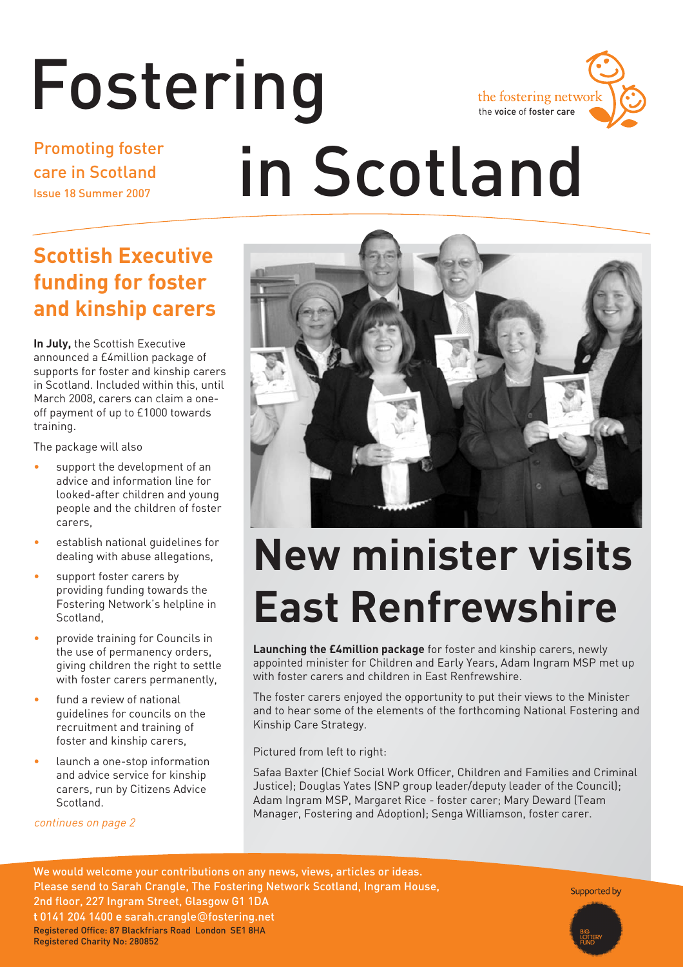# Fostering

## Promoting foster care in Scotland Issue 18 Summer 2007

# **Scottish Executive funding for foster and kinship carers**

**In July,** the Scottish Executive announced a £4million package of supports for foster and kinship carers in Scotland. Included within this, until March 2008, carers can claim a oneoff payment of up to £1000 towards training.

The package will also

- support the development of an advice and information line for looked-after children and young people and the children of foster carers,
- establish national guidelines for dealing with abuse allegations,
- support foster carers by providing funding towards the Fostering Network's helpline in Scotland,
- provide training for Councils in the use of permanency orders, giving children the right to settle with foster carers permanently,
- fund a review of national guidelines for councils on the recruitment and training of foster and kinship carers,
- launch a one-stop information and advice service for kinship carers, run by Citizens Advice **Scotland**

continues on page 2



the voice of foster care

the fostering network



# **New minister visits East Renfrewshire**

**Launching the £4million package** for foster and kinship carers, newly appointed minister for Children and Early Years, Adam Ingram MSP met up with foster carers and children in East Renfrewshire.

The foster carers enjoyed the opportunity to put their views to the Minister and to hear some of the elements of the forthcoming National Fostering and Kinship Care Strategy.

Pictured from left to right:

Safaa Baxter (Chief Social Work Officer, Children and Families and Criminal Justice); Douglas Yates (SNP group leader/deputy leader of the Council); Adam Ingram MSP, Margaret Rice - foster carer; Mary Deward (Team Manager, Fostering and Adoption); Senga Williamson, foster carer.

We would welcome your contributions on any news, views, articles or ideas. Please send to Sarah Crangle, The Fostering Network Scotland, Ingram House, 2nd floor, 227 Ingram Street, Glasgow G1 1DA **t** 0141 204 1400 **e** sarah.crangle@fostering.net Registered Office: 87 Blackfriars Road London SE1 8HA Registered Charity No: 280852

Supported by

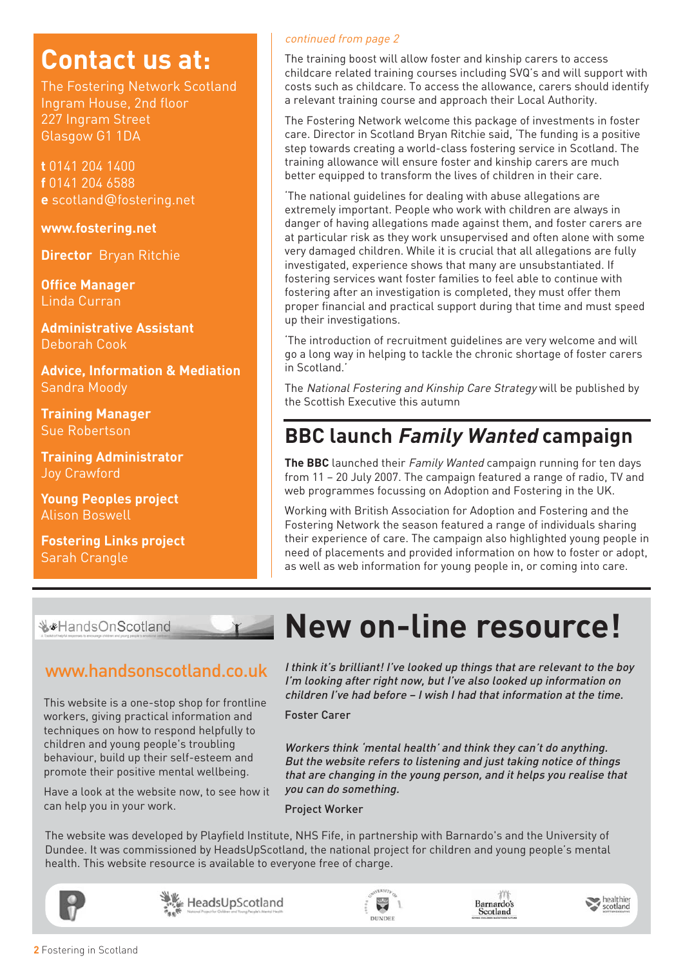# **Contact us at:**

The Fostering Network Scotland Ingram House, 2nd floor 227 Ingram Street Glasgow G1 1DA

**t** 0141 204 1400 **f** 0141 204 6588 **e** scotland@fostering.net

**www.fostering.net**

**Director** Bryan Ritchie

**Office Manager** Linda Curran

**Administrative Assistant**  Deborah Cook

**Advice, Information & Mediation**  Sandra Moody

**Training Manager** Sue Robertson

**Training Administrator**  Joy Crawford

**Young Peoples project** Alison Boswell

**Fostering Links project** Sarah Crangle

#### continued from page 2

The training boost will allow foster and kinship carers to access childcare related training courses including SVQ's and will support with costs such as childcare. To access the allowance, carers should identify a relevant training course and approach their Local Authority.

The Fostering Network welcome this package of investments in foster care. Director in Scotland Bryan Ritchie said, 'The funding is a positive step towards creating a world-class fostering service in Scotland. The training allowance will ensure foster and kinship carers are much better equipped to transform the lives of children in their care.

'The national guidelines for dealing with abuse allegations are extremely important. People who work with children are always in danger of having allegations made against them, and foster carers are at particular risk as they work unsupervised and often alone with some very damaged children. While it is crucial that all allegations are fully investigated, experience shows that many are unsubstantiated. If fostering services want foster families to feel able to continue with fostering after an investigation is completed, they must offer them proper financial and practical support during that time and must speed up their investigations.

'The introduction of recruitment guidelines are very welcome and will go a long way in helping to tackle the chronic shortage of foster carers in Scotland.'

The National Fostering and Kinship Care Strategy will be published by the Scottish Executive this autumn

# **BBC launch Family Wanted campaign**

**The BBC** launched their Family Wanted campaign running for ten days from 11 – 20 July 2007. The campaign featured a range of radio, TV and web programmes focussing on Adoption and Fostering in the UK.

Working with British Association for Adoption and Fostering and the Fostering Network the season featured a range of individuals sharing their experience of care. The campaign also highlighted young people in need of placements and provided information on how to foster or adopt, as well as web information for young people in, or coming into care.

₩ HandsOnScotland

This website is a one-stop shop for frontline workers, giving practical information and techniques on how to respond helpfully to children and young people's troubling behaviour, build up their self-esteem and promote their positive mental wellbeing.

Have a look at the website now, to see how it can help you in your work.

# **New on-line resource!**

www.handsonscotland.co.uk I think it's brilliant! I've looked up things that are relevant to the boy I'm looking after right now, but I've also looked up information on children I've had before – I wish I had that information at the time.

Foster Carer

Workers think 'mental health' and think they can't do anything. But the website refers to listening and just taking notice of things that are changing in the young person, and it helps you realise that you can do something.

Project Worker

The website was developed by Playfield Institute, NHS Fife, in partnership with Barnardo's and the University of Dundee. It was commissioned by HeadsUpScotland, the national project for children and young people's mental health. This website resource is available to everyone free of charge.







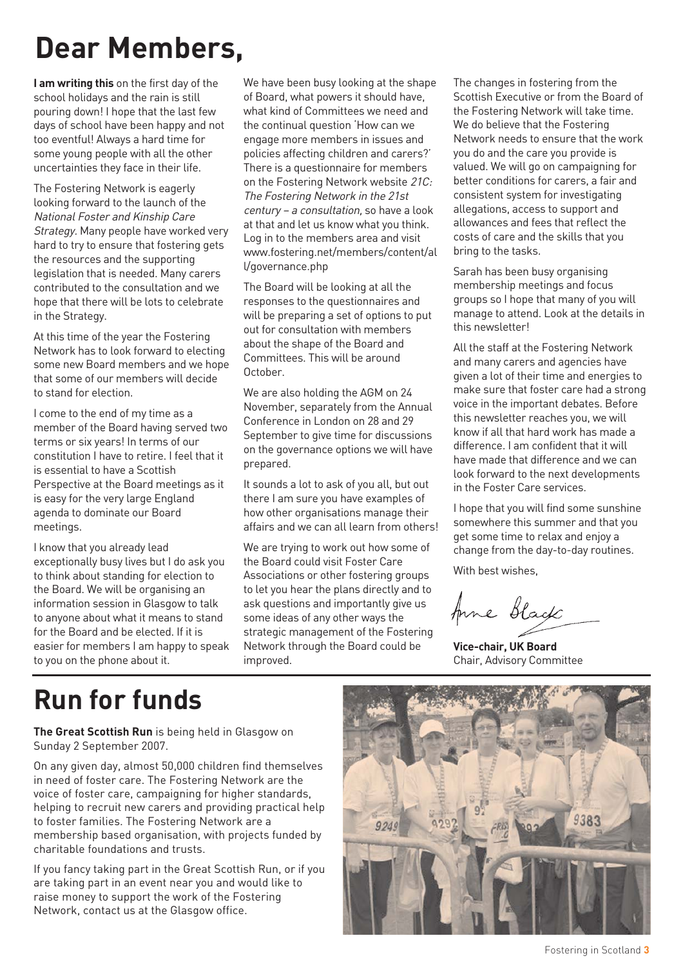# **Dear Members,**

**I am writing this** on the first day of the school holidays and the rain is still pouring down! I hope that the last few days of school have been happy and not too eventful! Always a hard time for some young people with all the other uncertainties they face in their life.

The Fostering Network is eagerly looking forward to the launch of the National Foster and Kinship Care Strategy. Many people have worked very hard to try to ensure that fostering gets the resources and the supporting legislation that is needed. Many carers contributed to the consultation and we hope that there will be lots to celebrate in the Strategy.

At this time of the year the Fostering Network has to look forward to electing some new Board members and we hope that some of our members will decide to stand for election.

I come to the end of my time as a member of the Board having served two terms or six years! In terms of our constitution I have to retire. I feel that it is essential to have a Scottish Perspective at the Board meetings as it is easy for the very large England agenda to dominate our Board meetings.

I know that you already lead exceptionally busy lives but I do ask you to think about standing for election to the Board. We will be organising an information session in Glasgow to talk to anyone about what it means to stand for the Board and be elected. If it is easier for members I am happy to speak to you on the phone about it.

We have been busy looking at the shape of Board, what powers it should have, what kind of Committees we need and the continual question 'How can we engage more members in issues and policies affecting children and carers?' There is a questionnaire for members on the Fostering Network website 21C: The Fostering Network in the 21st century – a consultation, so have a look at that and let us know what you think. Log in to the members area and visit www.fostering.net/members/content/al l/governance.php

The Board will be looking at all the responses to the questionnaires and will be preparing a set of options to put out for consultation with members about the shape of the Board and Committees. This will be around October.

We are also holding the AGM on 24 November, separately from the Annual Conference in London on 28 and 29 September to give time for discussions on the governance options we will have prepared.

It sounds a lot to ask of you all, but out there I am sure you have examples of how other organisations manage their affairs and we can all learn from others!

We are trying to work out how some of the Board could visit Foster Care Associations or other fostering groups to let you hear the plans directly and to ask questions and importantly give us some ideas of any other ways the strategic management of the Fostering Network through the Board could be improved.

The changes in fostering from the Scottish Executive or from the Board of the Fostering Network will take time. We do believe that the Fostering Network needs to ensure that the work you do and the care you provide is valued. We will go on campaigning for better conditions for carers, a fair and consistent system for investigating allegations, access to support and allowances and fees that reflect the costs of care and the skills that you bring to the tasks.

Sarah has been busy organising membership meetings and focus groups so I hope that many of you will manage to attend. Look at the details in this newsletter!

All the staff at the Fostering Network and many carers and agencies have given a lot of their time and energies to make sure that foster care had a strong voice in the important debates. Before this newsletter reaches you, we will know if all that hard work has made a difference. I am confident that it will have made that difference and we can look forward to the next developments in the Foster Care services.

I hope that you will find some sunshine somewhere this summer and that you get some time to relax and enjoy a change from the day-to-day routines.

With best wishes,

Anne Black

**Vice-chair, UK Board** Chair, Advisory Committee

# **Run for funds**

**The Great Scottish Run** is being held in Glasgow on Sunday 2 September 2007.

On any given day, almost 50,000 children find themselves in need of foster care. The Fostering Network are the voice of foster care, campaigning for higher standards, helping to recruit new carers and providing practical help to foster families. The Fostering Network are a membership based organisation, with projects funded by charitable foundations and trusts.

If you fancy taking part in the Great Scottish Run, or if you are taking part in an event near you and would like to raise money to support the work of the Fostering Network, contact us at the Glasgow office.



Fostering in Scotland **3**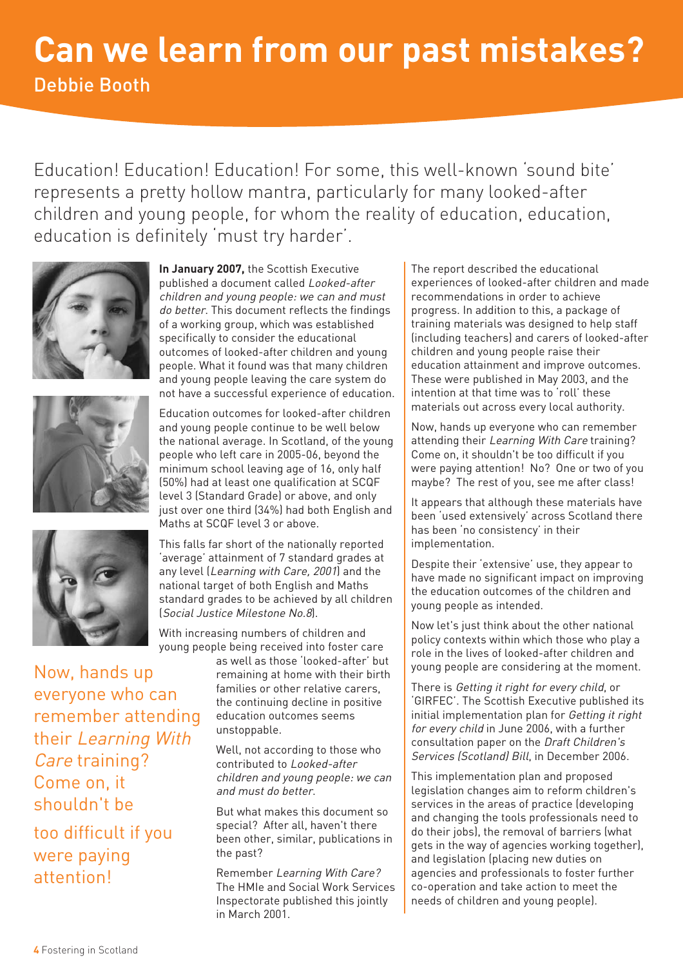Education! Education! Education! For some, this well-known 'sound bite' represents a pretty hollow mantra, particularly for many looked-after children and young people, for whom the reality of education, education, education is definitely 'must try harder'.







Now, hands up everyone who can remember attending their Learning With Care training? Come on, it shouldn't be

too difficult if you were paying attention!

**In January 2007,** the Scottish Executive published a document called Looked-after children and young people: we can and must do better. This document reflects the findings of a working group, which was established specifically to consider the educational outcomes of looked-after children and young people. What it found was that many children and young people leaving the care system do not have a successful experience of education.

Education outcomes for looked-after children and young people continue to be well below the national average. In Scotland, of the young people who left care in 2005-06, beyond the minimum school leaving age of 16, only half (50%) had at least one qualification at SCQF level 3 (Standard Grade) or above, and only just over one third (34%) had both English and Maths at SCQF level 3 or above.

This falls far short of the nationally reported 'average' attainment of 7 standard grades at any level (Learning with Care, 2001) and the national target of both English and Maths standard grades to be achieved by all children (Social Justice Milestone No.8).

With increasing numbers of children and young people being received into foster care

as well as those 'looked-after' but remaining at home with their birth families or other relative carers, the continuing decline in positive education outcomes seems unstoppable.

Well, not according to those who contributed to Looked-after children and young people: we can and must do better.

But what makes this document so special? After all, haven't there been other, similar, publications in the past?

Remember Learning With Care? The HMIe and Social Work Services Inspectorate published this jointly in March 2001.

The report described the educational experiences of looked-after children and made recommendations in order to achieve progress. In addition to this, a package of training materials was designed to help staff (including teachers) and carers of looked-after children and young people raise their education attainment and improve outcomes. These were published in May 2003, and the intention at that time was to 'roll' these materials out across every local authority.

Now, hands up everyone who can remember attending their Learning With Care training? Come on, it shouldn't be too difficult if you were paying attention! No? One or two of you maybe? The rest of you, see me after class!

It appears that although these materials have been 'used extensively' across Scotland there has been 'no consistency' in their implementation.

Despite their 'extensive' use, they appear to have made no significant impact on improving the education outcomes of the children and young people as intended.

Now let's just think about the other national policy contexts within which those who play a role in the lives of looked-after children and young people are considering at the moment.

There is Getting it right for every child, or 'GIRFEC'. The Scottish Executive published its initial implementation plan for Getting it right for every child in June 2006, with a further consultation paper on the Draft Children's Services (Scotland) Bill, in December 2006.

This implementation plan and proposed legislation changes aim to reform children's services in the areas of practice (developing and changing the tools professionals need to do their jobs), the removal of barriers (what gets in the way of agencies working together), and legislation (placing new duties on agencies and professionals to foster further co-operation and take action to meet the needs of children and young people).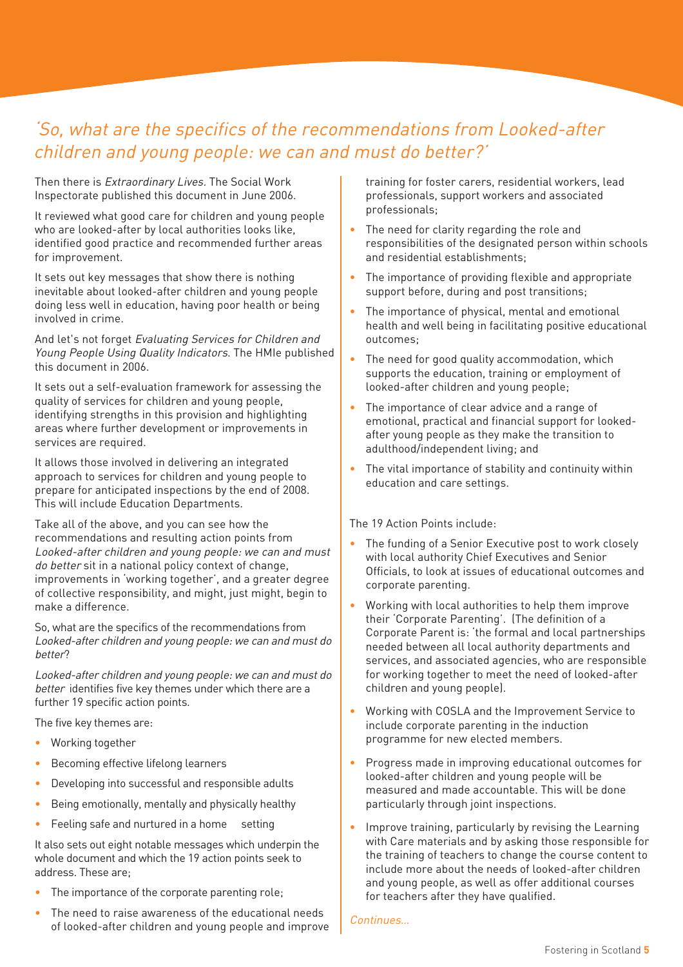# 'So, what are the specifics of the recommendations from Looked-after children and young people: we can and must do better?'

Then there is *Extraordinary Lives*. The Social Work Inspectorate published this document in June 2006.

It reviewed what good care for children and young people who are looked-after by local authorities looks like, identified good practice and recommended further areas for improvement.

It sets out key messages that show there is nothing inevitable about looked-after children and young people doing less well in education, having poor health or being involved in crime.

And let's not forget Evaluating Services for Children and Young People Using Quality Indicators. The HMIe published this document in 2006.

It sets out a self-evaluation framework for assessing the quality of services for children and young people, identifying strengths in this provision and highlighting areas where further development or improvements in services are required.

It allows those involved in delivering an integrated approach to services for children and young people to prepare for anticipated inspections by the end of 2008. This will include Education Departments.

Take all of the above, and you can see how the recommendations and resulting action points from Looked-after children and young people: we can and must do better sit in a national policy context of change, improvements in 'working together', and a greater degree of collective responsibility, and might, just might, begin to make a difference.

So, what are the specifics of the recommendations from Looked-after children and young people: we can and must do better?

Looked-after children and young people: we can and must do better identifies five key themes under which there are a further 19 specific action points.

The five key themes are:

- Working together
- Becoming effective lifelong learners
- Developing into successful and responsible adults
- Being emotionally, mentally and physically healthy
- Feeling safe and nurtured in a home setting

It also sets out eight notable messages which underpin the whole document and which the 19 action points seek to address. These are;

- The importance of the corporate parenting role;
- The need to raise awareness of the educational needs of looked-after children and young people and improve

training for foster carers, residential workers, lead professionals, support workers and associated professionals;

- The need for clarity regarding the role and responsibilities of the designated person within schools and residential establishments;
- The importance of providing flexible and appropriate support before, during and post transitions;
- The importance of physical, mental and emotional health and well being in facilitating positive educational outcomes;
- The need for good quality accommodation, which supports the education, training or employment of looked-after children and young people;
- The importance of clear advice and a range of emotional, practical and financial support for lookedafter young people as they make the transition to adulthood/independent living; and
- The vital importance of stability and continuity within education and care settings.

The 19 Action Points include:

- The funding of a Senior Executive post to work closely with local authority Chief Executives and Senior Officials, to look at issues of educational outcomes and corporate parenting.
- Working with local authorities to help them improve their 'Corporate Parenting'. (The definition of a Corporate Parent is: 'the formal and local partnerships needed between all local authority departments and services, and associated agencies, who are responsible for working together to meet the need of looked-after children and young people).
- Working with COSLA and the Improvement Service to include corporate parenting in the induction programme for new elected members.
- Progress made in improving educational outcomes for looked-after children and young people will be measured and made accountable. This will be done particularly through joint inspections.
- Improve training, particularly by revising the Learning with Care materials and by asking those responsible for the training of teachers to change the course content to include more about the needs of looked-after children and young people, as well as offer additional courses for teachers after they have qualified.

Continues…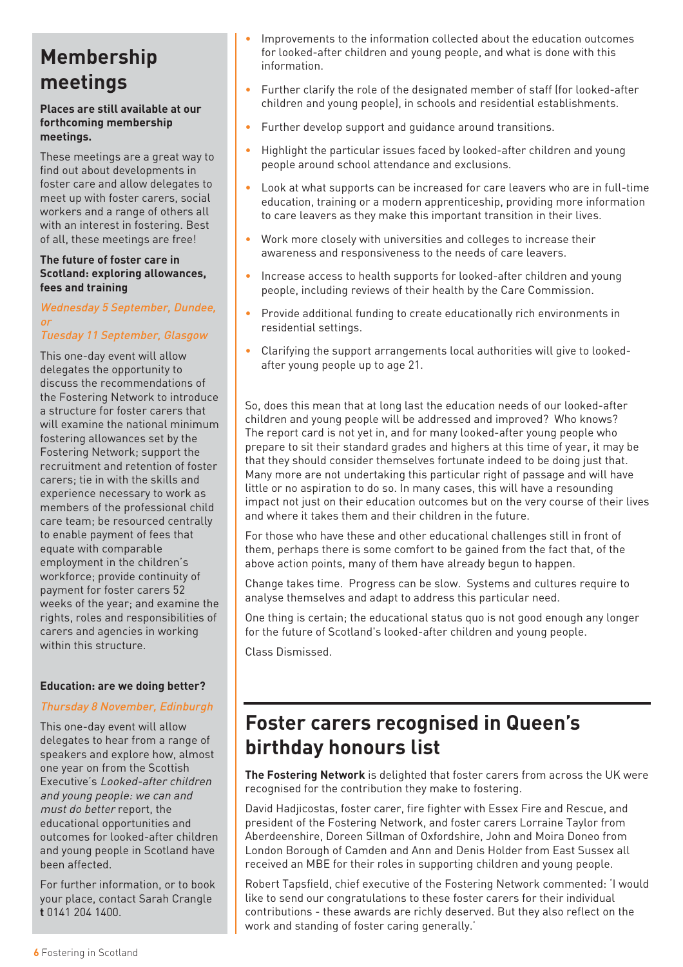# **Membership meetings**

#### **Places are still available at our forthcoming membership meetings.**

These meetings are a great way to find out about developments in foster care and allow delegates to meet up with foster carers, social workers and a range of others all with an interest in fostering. Best of all, these meetings are free!

#### **The future of foster care in Scotland: exploring allowances, fees and training**

#### Wednesday 5 September, Dundee, or

### Tuesday 11 September, Glasgow

This one-day event will allow delegates the opportunity to discuss the recommendations of the Fostering Network to introduce a structure for foster carers that will examine the national minimum fostering allowances set by the Fostering Network; support the recruitment and retention of foster carers; tie in with the skills and experience necessary to work as members of the professional child care team; be resourced centrally to enable payment of fees that equate with comparable employment in the children's workforce; provide continuity of payment for foster carers 52 weeks of the year; and examine the rights, roles and responsibilities of carers and agencies in working within this structure.

#### **Education: are we doing better?**

#### Thursday 8 November, Edinburgh

This one-day event will allow delegates to hear from a range of speakers and explore how, almost one year on from the Scottish Executive's Looked-after children and young people: we can and must do better report, the educational opportunities and outcomes for looked-after children and young people in Scotland have been affected.

For further information, or to book your place, contact Sarah Crangle **t** 0141 204 1400.

- Improvements to the information collected about the education outcomes for looked-after children and young people, and what is done with this information.
- Further clarify the role of the designated member of staff (for looked-after children and young people), in schools and residential establishments.
- Further develop support and guidance around transitions.
- Highlight the particular issues faced by looked-after children and young people around school attendance and exclusions.
- Look at what supports can be increased for care leavers who are in full-time education, training or a modern apprenticeship, providing more information to care leavers as they make this important transition in their lives.
- Work more closely with universities and colleges to increase their awareness and responsiveness to the needs of care leavers.
- Increase access to health supports for looked-after children and young people, including reviews of their health by the Care Commission.
- Provide additional funding to create educationally rich environments in residential settings.
- Clarifying the support arrangements local authorities will give to lookedafter young people up to age 21.

So, does this mean that at long last the education needs of our looked-after children and young people will be addressed and improved? Who knows? The report card is not yet in, and for many looked-after young people who prepare to sit their standard grades and highers at this time of year, it may be that they should consider themselves fortunate indeed to be doing just that. Many more are not undertaking this particular right of passage and will have little or no aspiration to do so. In many cases, this will have a resounding impact not just on their education outcomes but on the very course of their lives and where it takes them and their children in the future.

For those who have these and other educational challenges still in front of them, perhaps there is some comfort to be gained from the fact that, of the above action points, many of them have already begun to happen.

Change takes time. Progress can be slow. Systems and cultures require to analyse themselves and adapt to address this particular need.

One thing is certain; the educational status quo is not good enough any longer for the future of Scotland's looked-after children and young people.

Class Dismissed.

# **Foster carers recognised in Queen's birthday honours list**

**The Fostering Network** is delighted that foster carers from across the UK were recognised for the contribution they make to fostering.

David Hadjicostas, foster carer, fire fighter with Essex Fire and Rescue, and president of the Fostering Network, and foster carers Lorraine Taylor from Aberdeenshire, Doreen Sillman of Oxfordshire, John and Moira Doneo from London Borough of Camden and Ann and Denis Holder from East Sussex all received an MBE for their roles in supporting children and young people.

Robert Tapsfield, chief executive of the Fostering Network commented: 'I would like to send our congratulations to these foster carers for their individual contributions - these awards are richly deserved. But they also reflect on the work and standing of foster caring generally.'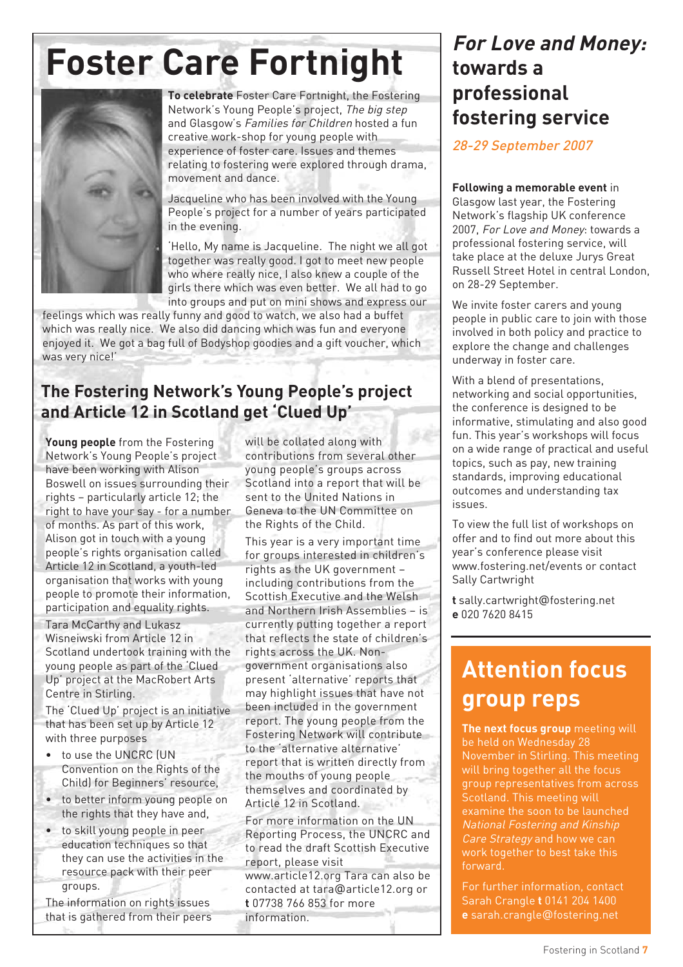# Foster Care Fortnight **For Love and Money:**



**To celebrate** Foster Care Fortnight, the Fostering Network's Young People's project, The big step and Glasgow's Families for Children hosted a fun creative work-shop for young people with experience of foster care. Issues and themes relating to fostering were explored through drama, movement and dance.

Jacqueline who has been involved with the Young People's project for a number of years participated in the evening.

'Hello, My name is Jacqueline. The night we all got together was really good. I got to meet new people who where really nice, I also knew a couple of the girls there which was even better. We all had to go into groups and put on mini shows and express our

feelings which was really funny and good to watch, we also had a buffet which was really nice. We also did dancing which was fun and everyone enjoyed it. We got a bag full of Bodyshop goodies and a gift voucher, which was very nice!'

## **The Fostering Network's Young People's project and Article 12 in Scotland get 'Clued Up'**

**Young people** from the Fostering Network's Young People's project have been working with Alison Boswell on issues surrounding their rights – particularly article 12; the right to have your say - for a number of months. As part of this work, Alison got in touch with a young people's rights organisation called Article 12 in Scotland, a youth-led organisation that works with young people to promote their information, participation and equality rights.

Tara McCarthy and Lukasz Wisneiwski from Article 12 in Scotland undertook training with the young people as part of the 'Clued Up' project at the MacRobert Arts Centre in Stirling.

The 'Clued Up' project is an initiative that has been set up by Article 12 with three purposes

- to use the UNCRC (UN Convention on the Rights of the Child) for Beginners' resource,
- to better inform young people on the rights that they have and,
- to skill young people in peer education techniques so that they can use the activities in the resource pack with their peer groups.

The information on rights issues that is gathered from their peers will be collated along with contributions from several other young people's groups across Scotland into a report that will be sent to the United Nations in Geneva to the UN Committee on the Rights of the Child.

This year is a very important time for groups interested in children's rights as the UK government – including contributions from the Scottish Executive and the Welsh and Northern Irish Assemblies – is currently putting together a report that reflects the state of children's rights across the UK. Nongovernment organisations also present 'alternative' reports that may highlight issues that have not been included in the government report. The young people from the Fostering Network will contribute to the 'alternative alternative' report that is written directly from the mouths of young people themselves and coordinated by Article 12 in Scotland.

For more information on the UN Reporting Process, the UNCRC and to read the draft Scottish Executive report, please visit

www.article12.org Tara can also be contacted at tara@article12.org or **t** 07738 766 853 for more information.

# **towards a professional fostering service**

28-29 September 2007

#### **Following a memorable event** in

Glasgow last year, the Fostering Network's flagship UK conference 2007, For Love and Money: towards a professional fostering service, will take place at the deluxe Jurys Great Russell Street Hotel in central London, on 28-29 September.

We invite foster carers and young people in public care to join with those involved in both policy and practice to explore the change and challenges underway in foster care.

With a blend of presentations, networking and social opportunities, the conference is designed to be informative, stimulating and also good fun. This year's workshops will focus on a wide range of practical and useful topics, such as pay, new training standards, improving educational outcomes and understanding tax issues.

To view the full list of workshops on offer and to find out more about this year's conference please visit www.fostering.net/events or contact Sally Cartwright

**t** sally.cartwright@fostering.net **e** 020 7620 8415

# **Attention focus group reps**

**The next focus group** meeting will be held on Wednesday 28 November in Stirling. This meeting will bring together all the focus group representatives from across Scotland. This meeting will examine the soon to be launched National Fostering and Kinship Care Strategy and how we can work together to best take this forward.

For further information, contact Sarah Crangle **t** 0141 204 1400 **e** sarah.crangle@fostering.net